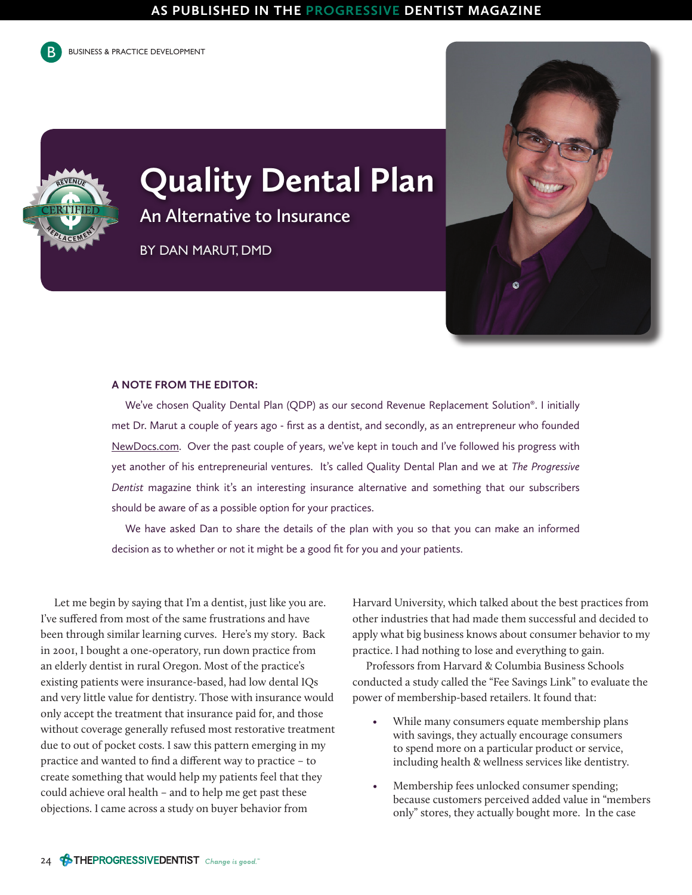

REVENUE

REPLACEMENT

**BUSINESS & PRACTICE DEVELOPMENT** 

## **Quality Dental Plan**

**An Alternative to Insurance**

BY DAN MARUT, DMD



## **A NOTE FROM THE EDITOR:**

We've chosen Quality Dental Plan (QDP) as our second Revenue Replacement Solution®. I initially met Dr. Marut a couple of years ago - first as a dentist, and secondly, as an entrepreneur who founded NewDocs.com. Over the past couple of years, we've kept in touch and I've followed his progress with yet another of his entrepreneurial ventures. It's called Quality Dental Plan and we at *The Progressive Dentist* magazine think it's an interesting insurance alternative and something that our subscribers should be aware of as a possible option for your practices.

We have asked Dan to share the details of the plan with you so that you can make an informed decision as to whether or not it might be a good fit for you and your patients.

Let me begin by saying that I'm a dentist, just like you are. I've suffered from most of the same frustrations and have been through similar learning curves. Here's my story. Back in 2001, I bought a one-operatory, run down practice from an elderly dentist in rural Oregon. Most of the practice's existing patients were insurance-based, had low dental IQs and very little value for dentistry. Those with insurance would only accept the treatment that insurance paid for, and those without coverage generally refused most restorative treatment due to out of pocket costs. I saw this pattern emerging in my practice and wanted to find a different way to practice – to create something that would help my patients feel that they could achieve oral health – and to help me get past these objections. I came across a study on buyer behavior from

Harvard University, which talked about the best practices from other industries that had made them successful and decided to apply what big business knows about consumer behavior to my practice. I had nothing to lose and everything to gain.

Professors from Harvard & Columbia Business Schools conducted a study called the "Fee Savings Link" to evaluate the power of membership-based retailers. It found that:

- While many consumers equate membership plans with savings, they actually encourage consumers to spend more on a particular product or service, including health & wellness services like dentistry.
- Membership fees unlocked consumer spending; because customers perceived added value in "members only" stores, they actually bought more. In the case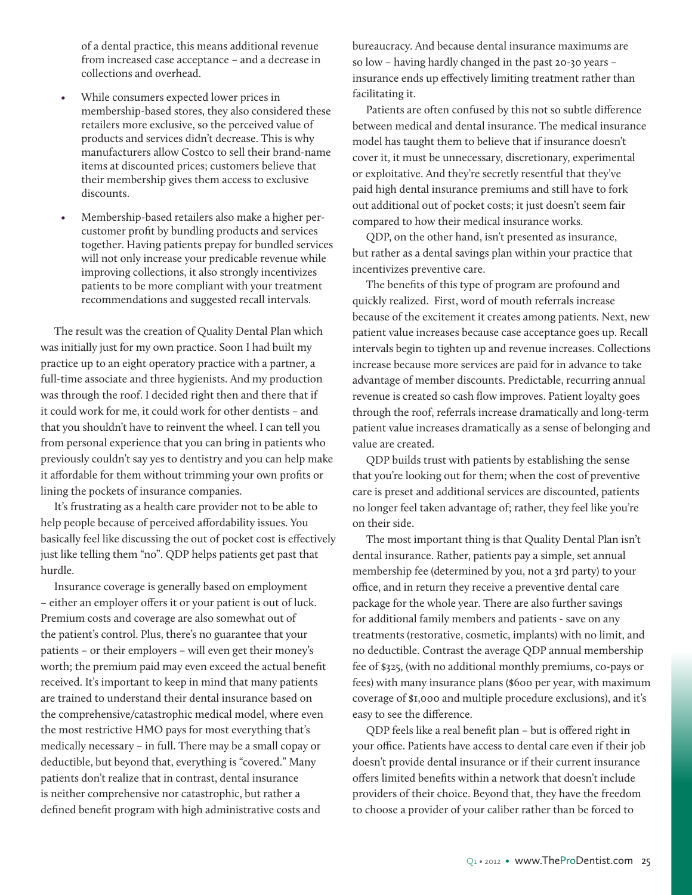of a dental practice, this means additional revenue from increased case acceptance – and a decrease in collections and overhead.

- While consumers expected lower prices in membership-based stores, they also considered these retailers more exclusive, so the perceived value of products and services didn't decrease. This is why manufacturers allow Costco to sell their brand-name items at discounted prices; customers believe that their membership gives them access to exclusive discounts.
- Membership-based retailers also make a higher percustomer profit by bundling products and services together. Having patients prepay for bundled services will not only increase your predicable revenue while improving collections, it also strongly incentivizes patients to be more compliant with your treatment recommendations and suggested recall intervals.

The result was the creation of Quality Dental Plan which was initially just for my own practice. Soon I had built my practice up to an eight operatory practice with a partner, a full-time associate and three hygienists. And my production was through the roof. I decided right then and there that if it could work for me, it could work for other dentists – and that you shouldn't have to reinvent the wheel. I can tell you from personal experience that you can bring in patients who previously couldn't say yes to dentistry and you can help make it affordable for them without trimming your own profits or lining the pockets of insurance companies.

It's frustrating as a health care provider not to be able to help people because of perceived affordability issues. You basically feel like discussing the out of pocket cost is effectively just like telling them "no". QDP helps patients get past that hurdle.

Insurance coverage is generally based on employment – either an employer offers it or your patient is out of luck. Premium costs and coverage are also somewhat out of the patient's control. Plus, there's no guarantee that your patients – or their employers – will even get their money's worth; the premium paid may even exceed the actual benefit received. It's important to keep in mind that many patients are trained to understand their dental insurance based on the comprehensive/catastrophic medical model, where even the most restrictive HMO pays for most everything that's medically necessary – in full. There may be a small copay or deductible, but beyond that, everything is "covered." Many patients don't realize that in contrast, dental insurance is neither comprehensive nor catastrophic, but rather a defined benefit program with high administrative costs and

bureaucracy. And because dental insurance maximums are so low – having hardly changed in the past 20-30 years – insurance ends up effectively limiting treatment rather than facilitating it.

Patients are often confused by this not so subtle difference between medical and dental insurance. The medical insurance model has taught them to believe that if insurance doesn't cover it, it must be unnecessary, discretionary, experimental or exploitative. And they're secretly resentful that they've paid high dental insurance premiums and still have to fork out additional out of pocket costs; it just doesn't seem fair compared to how their medical insurance works.

QDP, on the other hand, isn't presented as insurance, but rather as a dental savings plan within your practice that incentivizes preventive care.

The benefits of this type of program are profound and quickly realized. First, word of mouth referrals increase because of the excitement it creates among patients. Next, new patient value increases because case acceptance goes up. Recall intervals begin to tighten up and revenue increases. Collections increase because more services are paid for in advance to take advantage of member discounts. Predictable, recurring annual revenue is created so cash flow improves. Patient loyalty goes through the roof, referrals increase dramatically and long-term patient value increases dramatically as a sense of belonging and value are created.

QDP builds trust with patients by establishing the sense that you're looking out for them; when the cost of preventive care is preset and additional services are discounted, patients no longer feel taken advantage of; rather, they feel like you're on their side.

The most important thing is that Quality Dental Plan isn't dental insurance. Rather, patients pay a simple, set annual membership fee (determined by you, not a 3rd party) to your office, and in return they receive a preventive dental care package for the whole year. There are also further savings for additional family members and patients - save on any treatments (restorative, cosmetic, implants) with no limit, and no deductible. Contrast the average QDP annual membership fee of \$325, (with no additional monthly premiums, co-pays or fees) with many insurance plans (\$600 per year, with maximum coverage of \$1,000 and multiple procedure exclusions), and it's easy to see the difference.

QDP feels like a real benefit plan – but is offered right in your office. Patients have access to dental care even if their job doesn't provide dental insurance or if their current insurance offers limited benefits within a network that doesn't include providers of their choice. Beyond that, they have the freedom to choose a provider of your caliber rather than be forced to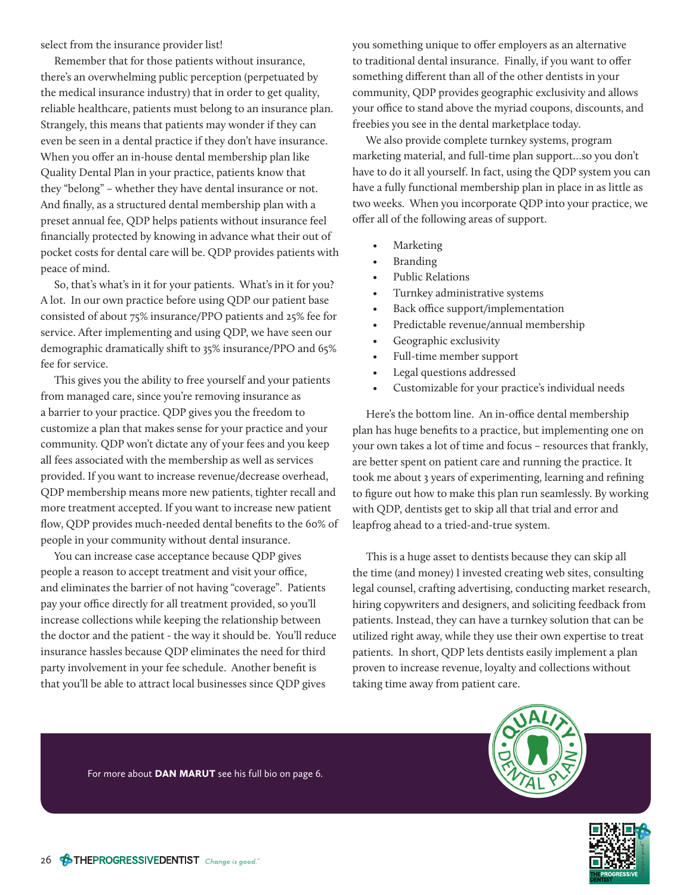select from the insurance provider list!

Remember that for those patients without insurance, there's an overwhelming public perception (perpetuated by the medical insurance industry) that in order to get quality, reliable healthcare, patients must belong to an insurance plan. Strangely, this means that patients may wonder if they can even be seen in a dental practice if they don't have insurance. When you offer an in-house dental membership plan like Quality Dental Plan in your practice, patients know that they "belong" – whether they have dental insurance or not. And finally, as a structured dental membership plan with a preset annual fee, QDP helps patients without insurance feel financially protected by knowing in advance what their out of pocket costs for dental care will be. QDP provides patients with peace of mind.

So, that's what's in it for your patients. What's in it for you? A lot. In our own practice before using QDP our patient base consisted of about 75% insurance/PPO patients and 25% fee for service. After implementing and using QDP, we have seen our demographic dramatically shift to 35% insurance/PPO and 65% fee for service.

This gives you the ability to free yourself and your patients from managed care, since you're removing insurance as a barrier to your practice. QDP gives you the freedom to customize a plan that makes sense for your practice and your community. QDP won't dictate any of your fees and you keep all fees associated with the membership as well as services provided. If you want to increase revenue/decrease overhead, QDP membership means more new patients, tighter recall and more treatment accepted. If you want to increase new patient flow, QDP provides much-needed dental benefits to the 60% of people in your community without dental insurance.

You can increase case acceptance because QDP gives people a reason to accept treatment and visit your office, and eliminates the barrier of not having "coverage". Patients pay your office directly for all treatment provided, so you'll increase collections while keeping the relationship between the doctor and the patient - the way it should be. You'll reduce insurance hassles because QDP eliminates the need for third party involvement in your fee schedule. Another benefit is that you'll be able to attract local businesses since QDP gives

you something unique to offer employers as an alternative to traditional dental insurance. Finally, if you want to offer something different than all of the other dentists in your community, QDP provides geographic exclusivity and allows your office to stand above the myriad coupons, discounts, and freebies you see in the dental marketplace today.

We also provide complete turnkey systems, program marketing material, and full-time plan support…so you don't have to do it all yourself. In fact, using the QDP system you can have a fully functional membership plan in place in as little as two weeks. When you incorporate QDP into your practice, we offer all of the following areas of support.

- **Marketing**
- **Branding**
- Public Relations
- Turnkey administrative systems
- Back office support/implementation
- Predictable revenue/annual membership
- Geographic exclusivity
- Full-time member support
- Legal questions addressed
- Customizable for your practice's individual needs

Here's the bottom line. An in-office dental membership plan has huge benefits to a practice, but implementing one on your own takes a lot of time and focus – resources that frankly, are better spent on patient care and running the practice. It took me about 3 years of experimenting, learning and refining to figure out how to make this plan run seamlessly. By working with QDP, dentists get to skip all that trial and error and leapfrog ahead to a tried-and-true system.

This is a huge asset to dentists because they can skip all the time (and money) I invested creating web sites, consulting legal counsel, crafting advertising, conducting market research, hiring copywriters and designers, and soliciting feedback from patients. Instead, they can have a turnkey solution that can be utilized right away, while they use their own expertise to treat patients. In short, QDP lets dentists easily implement a plan proven to increase revenue, loyalty and collections without taking time away from patient care.